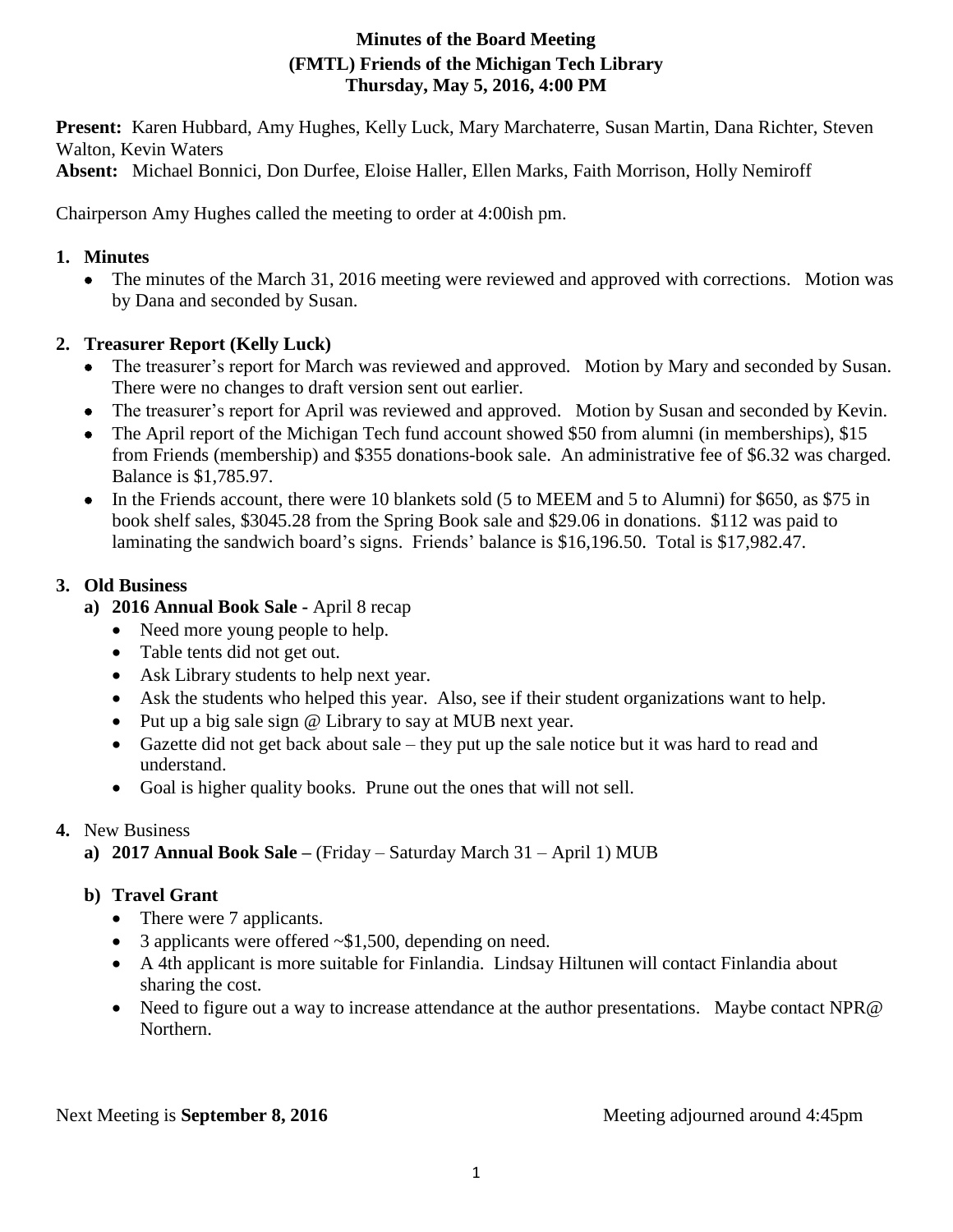# **Minutes of the Board Meeting (FMTL) Friends of the Michigan Tech Library Thursday, May 5, 2016, 4:00 PM**

**Present:** Karen Hubbard, Amy Hughes, Kelly Luck, Mary Marchaterre, Susan Martin, Dana Richter, Steven Walton, Kevin Waters

**Absent:** Michael Bonnici, Don Durfee, Eloise Haller, Ellen Marks, Faith Morrison, Holly Nemiroff

Chairperson Amy Hughes called the meeting to order at 4:00ish pm.

### **1. Minutes**

 The minutes of the March 31, 2016 meeting were reviewed and approved with corrections. Motion was by Dana and seconded by Susan.

# **2. Treasurer Report (Kelly Luck)**

- The treasurer's report for March was reviewed and approved. Motion by Mary and seconded by Susan. There were no changes to draft version sent out earlier.
- The treasurer's report for April was reviewed and approved. Motion by Susan and seconded by Kevin.
- The April report of the Michigan Tech fund account showed \$50 from alumni (in memberships), \$15 from Friends (membership) and \$355 donations-book sale. An administrative fee of \$6.32 was charged. Balance is \$1,785.97.
- In the Friends account, there were 10 blankets sold (5 to MEEM and 5 to Alumni) for \$650, as \$75 in book shelf sales, \$3045.28 from the Spring Book sale and \$29.06 in donations. \$112 was paid to laminating the sandwich board's signs. Friends' balance is \$16,196.50. Total is \$17,982.47.

### **3. Old Business**

- **a) 2016 Annual Book Sale -** April 8 recap
	- Need more young people to help.
	- Table tents did not get out.
	- Ask Library students to help next year.
	- Ask the students who helped this year. Also, see if their student organizations want to help.
	- Put up a big sale sign @ Library to say at MUB next year.
	- Gazette did not get back about sale they put up the sale notice but it was hard to read and understand.
	- Goal is higher quality books. Prune out the ones that will not sell.

# **4.** New Business

**a) 2017 Annual Book Sale –** (Friday – Saturday March 31 – April 1) MUB

# **b) Travel Grant**

- There were 7 applicants.
- 3 applicants were offered ~\$1,500, depending on need.
- A 4th applicant is more suitable for Finlandia. Lindsay Hiltunen will contact Finlandia about sharing the cost.
- Need to figure out a way to increase attendance at the author presentations. Maybe contact NPR@ Northern.